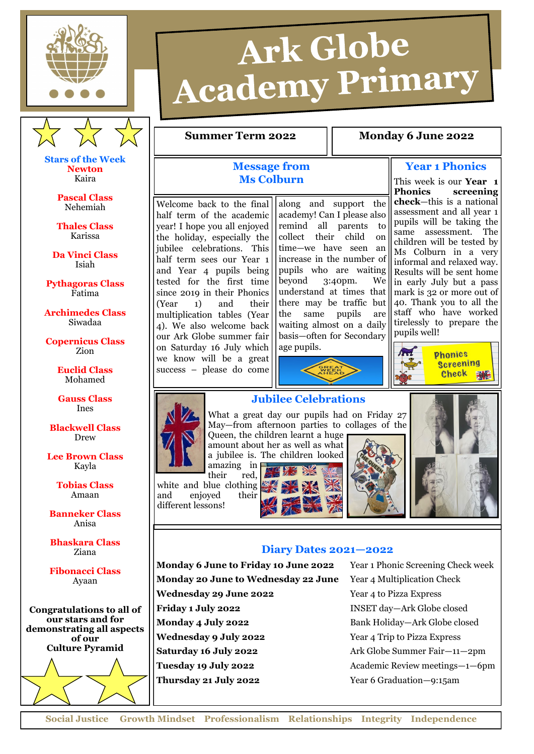



**Stars of the Week Newton** Kaira

> **Pascal Class** Nehemiah

**Thales Class** Karissa

**Da Vinci Class** Isiah

**Pythagoras Class** Fatima

**Archimedes Class** Siwadaa

**Copernicus Class** Zion

> **Euclid Class** Mohamed

> **Gauss Class** Ines

**Blackwell Class** Drew

**Lee Brown Class** Kayla

> **Tobias Class** Amaan

**Banneker Class** Anisa

**Bhaskara Class** Ziana

**Fibonacci Class** Ayaan

**Congratulations to all of our stars and for demonstrating all aspects of our Culture Pyramid**

## **Message from Ms Colburn**

Welcome back to the final half term of the academic year! I hope you all enjoyed the holiday, especially the jubilee celebrations. This half term sees our Year 1 and Year 4 pupils being tested for the first time since 2019 in their Phonics (Year 1) and their multiplication tables (Year 4). We also welcome back our Ark Globe summer fair on Saturday 16 July which we know will be a great success – please do come

along and support the academy! Can I please also remind all parents to collect their child on time—we have seen an increase in the number of pupils who are waiting beyond 3:40pm. We understand at times that there may be traffic but the same pupils are waiting almost on a daily basis—often for Secondary age pupils.

**Summer Term 2022** | **Monday 6 June 2022** 

Ark Globe

**Academy Primary** 



**Year 1 Phonics**

This week is our **Year 1 Phonics screening check**—this is a national assessment and all year 1 pupils will be taking the same assessment. The children will be tested by Ms Colburn in a very informal and relaxed way. Results will be sent home in early July but a pass mark is 32 or more out of 40. Thank you to all the staff who have worked tirelessly to prepare the pupils well!







## **Jubilee Celebrations**

What a great day our pupils had on Friday 27 May—from afternoon parties to collages of the Queen, the children learnt a huge amount about her as well as what a jubilee is. The children looked

amazing in their red, white and blue clothing and enjoyed their different lessons!





**Diary Dates 2021—2022 Monday 6 June to Friday 10 June 2022** Year 1 Phonic Screening Check week **Monday 20 June to Wednesday 22 June** Year 4 Multiplication Check **Wednesday 29 June 2022** Year 4 to Pizza Express **Friday 1 July 2022** INSET day—Ark Globe closed **Monday 4 July 2022** Bank Holiday—Ark Globe closed **Wednesday 9 July 2022** Year 4 Trip to Pizza Express **Saturday 16 July 2022** Ark Globe Summer Fair—11—2pm **Tuesday 19 July 2022** Academic Review meetings—1—6pm **Thursday 21 July 2022** Year 6 Graduation—9:15am